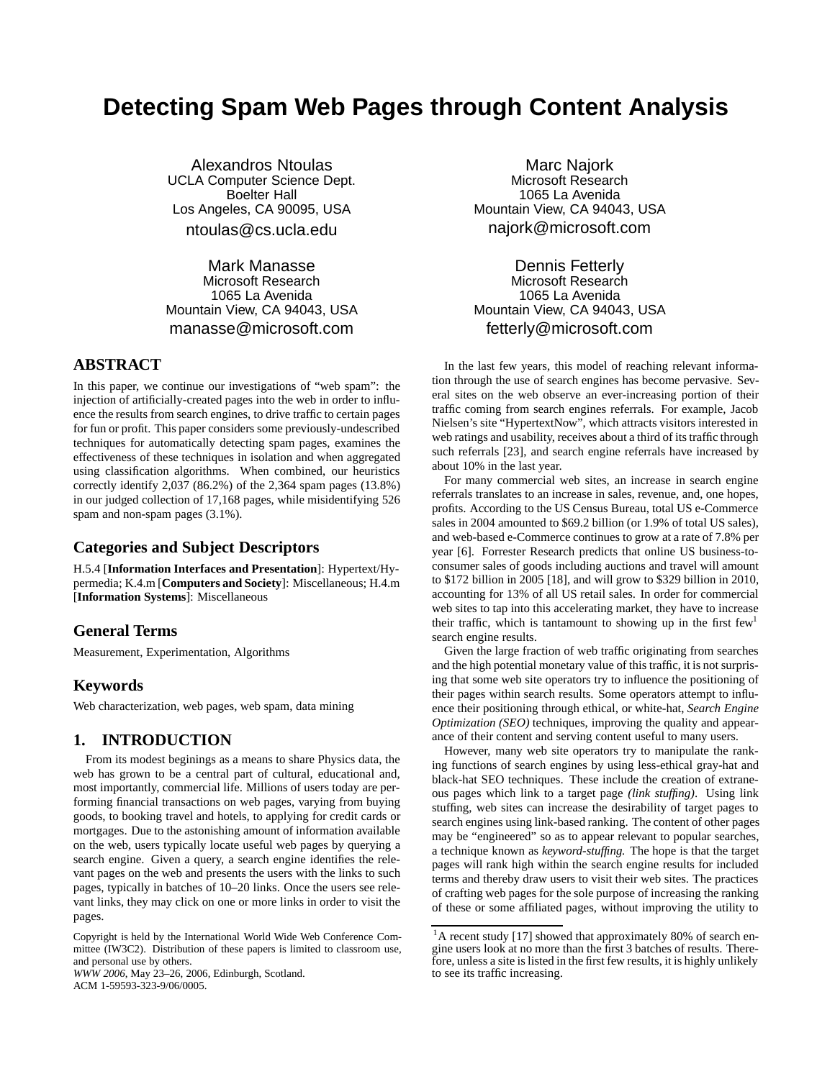# **Detecting Spam Web Pages through Content Analysis**

Alexandros Ntoulas UCLA Computer Science Dept. Boelter Hall Los Angeles, CA 90095, USA ntoulas@cs.ucla.edu

Mark Manasse Microsoft Research 1065 La Avenida Mountain View, CA 94043, USA manasse@microsoft.com

## **ABSTRACT**

In this paper, we continue our investigations of "web spam": the injection of artificially-created pages into the web in order to influence the results from search engines, to drive traffic to certain pages for fun or profit. This paper considers some previously-undescribed techniques for automatically detecting spam pages, examines the effectiveness of these techniques in isolation and when aggregated using classification algorithms. When combined, our heuristics correctly identify 2,037 (86.2%) of the 2,364 spam pages (13.8%) in our judged collection of 17,168 pages, while misidentifying 526 spam and non-spam pages (3.1%).

# **Categories and Subject Descriptors**

H.5.4 [**Information Interfaces and Presentation**]: Hypertext/Hypermedia; K.4.m [**Computers and Society**]: Miscellaneous; H.4.m [**Information Systems**]: Miscellaneous

## **General Terms**

Measurement, Experimentation, Algorithms

## **Keywords**

Web characterization, web pages, web spam, data mining

## **1. INTRODUCTION**

From its modest beginings as a means to share Physics data, the web has grown to be a central part of cultural, educational and, most importantly, commercial life. Millions of users today are performing financial transactions on web pages, varying from buying goods, to booking travel and hotels, to applying for credit cards or mortgages. Due to the astonishing amount of information available on the web, users typically locate useful web pages by querying a search engine. Given a query, a search engine identifies the relevant pages on the web and presents the users with the links to such pages, typically in batches of 10–20 links. Once the users see relevant links, they may click on one or more links in order to visit the pages.

*WWW 2006*, May 23–26, 2006, Edinburgh, Scotland. ACM 1-59593-323-9/06/0005.

Marc Najork Microsoft Research 1065 La Avenida Mountain View, CA 94043, USA najork@microsoft.com

Dennis Fetterly Microsoft Research 1065 La Avenida Mountain View, CA 94043, USA fetterly@microsoft.com

In the last few years, this model of reaching relevant information through the use of search engines has become pervasive. Several sites on the web observe an ever-increasing portion of their traffic coming from search engines referrals. For example, Jacob Nielsen's site "HypertextNow", which attracts visitors interested in web ratings and usability, receives about a third of its traffic through such referrals [23], and search engine referrals have increased by about 10% in the last year.

For many commercial web sites, an increase in search engine referrals translates to an increase in sales, revenue, and, one hopes, profits. According to the US Census Bureau, total US e-Commerce sales in 2004 amounted to \$69.2 billion (or 1.9% of total US sales), and web-based e-Commerce continues to grow at a rate of 7.8% per year [6]. Forrester Research predicts that online US business-toconsumer sales of goods including auctions and travel will amount to \$172 billion in 2005 [18], and will grow to \$329 billion in 2010, accounting for 13% of all US retail sales. In order for commercial web sites to tap into this accelerating market, they have to increase their traffic, which is tantamount to showing up in the first  $f_{\text{ew}}^1$ search engine results.

Given the large fraction of web traffic originating from searches and the high potential monetary value of this traffic, it is not surprising that some web site operators try to influence the positioning of their pages within search results. Some operators attempt to influence their positioning through ethical, or white-hat, *Search Engine Optimization (SEO)* techniques, improving the quality and appearance of their content and serving content useful to many users.

However, many web site operators try to manipulate the ranking functions of search engines by using less-ethical gray-hat and black-hat SEO techniques. These include the creation of extraneous pages which link to a target page *(link stuffing)*. Using link stuffing, web sites can increase the desirability of target pages to search engines using link-based ranking. The content of other pages may be "engineered" so as to appear relevant to popular searches, a technique known as *keyword-stuffing.* The hope is that the target pages will rank high within the search engine results for included terms and thereby draw users to visit their web sites. The practices of crafting web pages for the sole purpose of increasing the ranking of these or some affiliated pages, without improving the utility to

Copyright is held by the International World Wide Web Conference Committee (IW3C2). Distribution of these papers is limited to classroom use, and personal use by others.

<sup>&</sup>lt;sup>1</sup>A recent study [17] showed that approximately 80% of search engine users look at no more than the first 3 batches of results. Therefore, unless a site is listed in the first few results, it is highly unlikely to see its traffic increasing.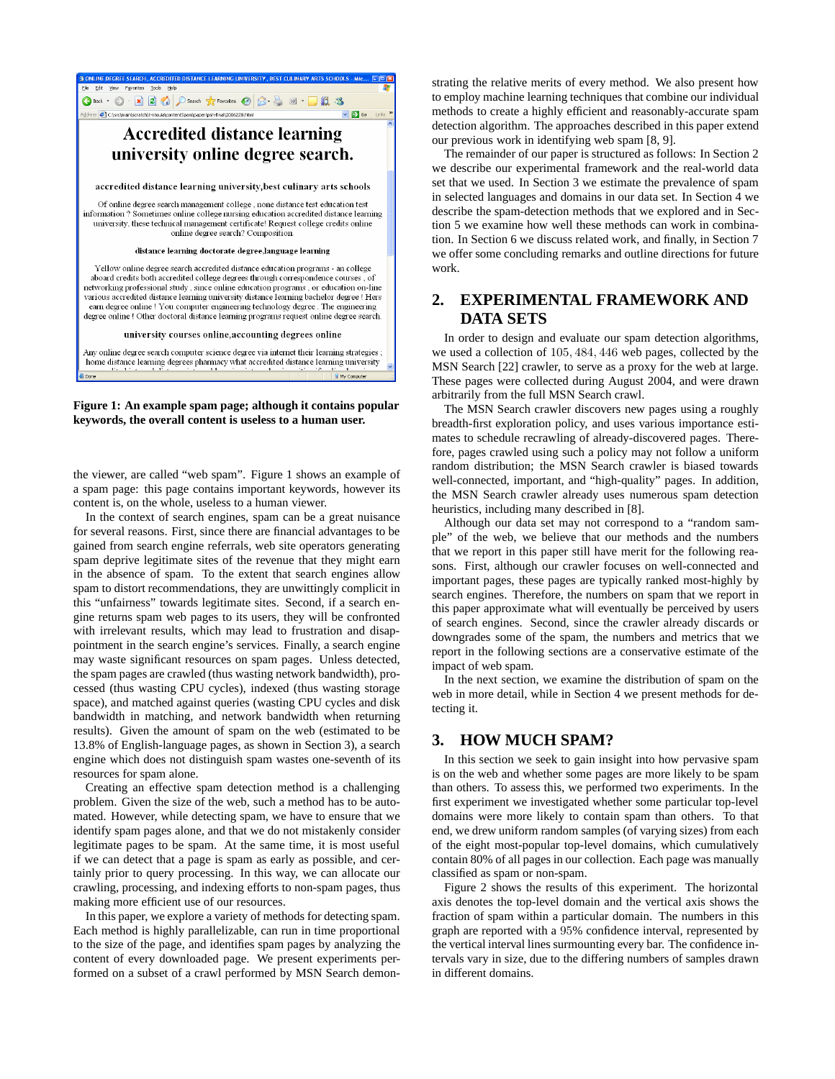

#### **Figure 1: An example spam page; although it contains popular keywords, the overall content is useless to a human user.**

the viewer, are called "web spam". Figure 1 shows an example of a spam page: this page contains important keywords, however its content is, on the whole, useless to a human viewer.

In the context of search engines, spam can be a great nuisance for several reasons. First, since there are financial advantages to be gained from search engine referrals, web site operators generating spam deprive legitimate sites of the revenue that they might earn in the absence of spam. To the extent that search engines allow spam to distort recommendations, they are unwittingly complicit in this "unfairness" towards legitimate sites. Second, if a search engine returns spam web pages to its users, they will be confronted with irrelevant results, which may lead to frustration and disappointment in the search engine's services. Finally, a search engine may waste significant resources on spam pages. Unless detected, the spam pages are crawled (thus wasting network bandwidth), processed (thus wasting CPU cycles), indexed (thus wasting storage space), and matched against queries (wasting CPU cycles and disk bandwidth in matching, and network bandwidth when returning results). Given the amount of spam on the web (estimated to be 13.8% of English-language pages, as shown in Section 3), a search engine which does not distinguish spam wastes one-seventh of its resources for spam alone.

Creating an effective spam detection method is a challenging problem. Given the size of the web, such a method has to be automated. However, while detecting spam, we have to ensure that we identify spam pages alone, and that we do not mistakenly consider legitimate pages to be spam. At the same time, it is most useful if we can detect that a page is spam as early as possible, and certainly prior to query processing. In this way, we can allocate our crawling, processing, and indexing efforts to non-spam pages, thus making more efficient use of our resources.

In this paper, we explore a variety of methods for detecting spam. Each method is highly parallelizable, can run in time proportional to the size of the page, and identifies spam pages by analyzing the content of every downloaded page. We present experiments performed on a subset of a crawl performed by MSN Search demonstrating the relative merits of every method. We also present how to employ machine learning techniques that combine our individual methods to create a highly efficient and reasonably-accurate spam detection algorithm. The approaches described in this paper extend our previous work in identifying web spam [8, 9].

The remainder of our paper is structured as follows: In Section 2 we describe our experimental framework and the real-world data set that we used. In Section 3 we estimate the prevalence of spam in selected languages and domains in our data set. In Section 4 we describe the spam-detection methods that we explored and in Section 5 we examine how well these methods can work in combination. In Section 6 we discuss related work, and finally, in Section 7 we offer some concluding remarks and outline directions for future work.

# **2. EXPERIMENTAL FRAMEWORK AND DATA SETS**

In order to design and evaluate our spam detection algorithms, we used a collection of 105*,* 484*,* 446 web pages, collected by the MSN Search [22] crawler, to serve as a proxy for the web at large. These pages were collected during August 2004, and were drawn arbitrarily from the full MSN Search crawl.

The MSN Search crawler discovers new pages using a roughly breadth-first exploration policy, and uses various importance estimates to schedule recrawling of already-discovered pages. Therefore, pages crawled using such a policy may not follow a uniform random distribution; the MSN Search crawler is biased towards well-connected, important, and "high-quality" pages. In addition, the MSN Search crawler already uses numerous spam detection heuristics, including many described in [8].

Although our data set may not correspond to a "random sample" of the web, we believe that our methods and the numbers that we report in this paper still have merit for the following reasons. First, although our crawler focuses on well-connected and important pages, these pages are typically ranked most-highly by search engines. Therefore, the numbers on spam that we report in this paper approximate what will eventually be perceived by users of search engines. Second, since the crawler already discards or downgrades some of the spam, the numbers and metrics that we report in the following sections are a conservative estimate of the impact of web spam.

In the next section, we examine the distribution of spam on the web in more detail, while in Section 4 we present methods for detecting it.

# **3. HOW MUCH SPAM?**

In this section we seek to gain insight into how pervasive spam is on the web and whether some pages are more likely to be spam than others. To assess this, we performed two experiments. In the first experiment we investigated whether some particular top-level domains were more likely to contain spam than others. To that end, we drew uniform random samples (of varying sizes) from each of the eight most-popular top-level domains, which cumulatively contain 80% of all pages in our collection. Each page was manually classified as spam or non-spam.

Figure 2 shows the results of this experiment. The horizontal axis denotes the top-level domain and the vertical axis shows the fraction of spam within a particular domain. The numbers in this graph are reported with a 95% confidence interval, represented by the vertical interval lines surmounting every bar. The confidence intervals vary in size, due to the differing numbers of samples drawn in different domains.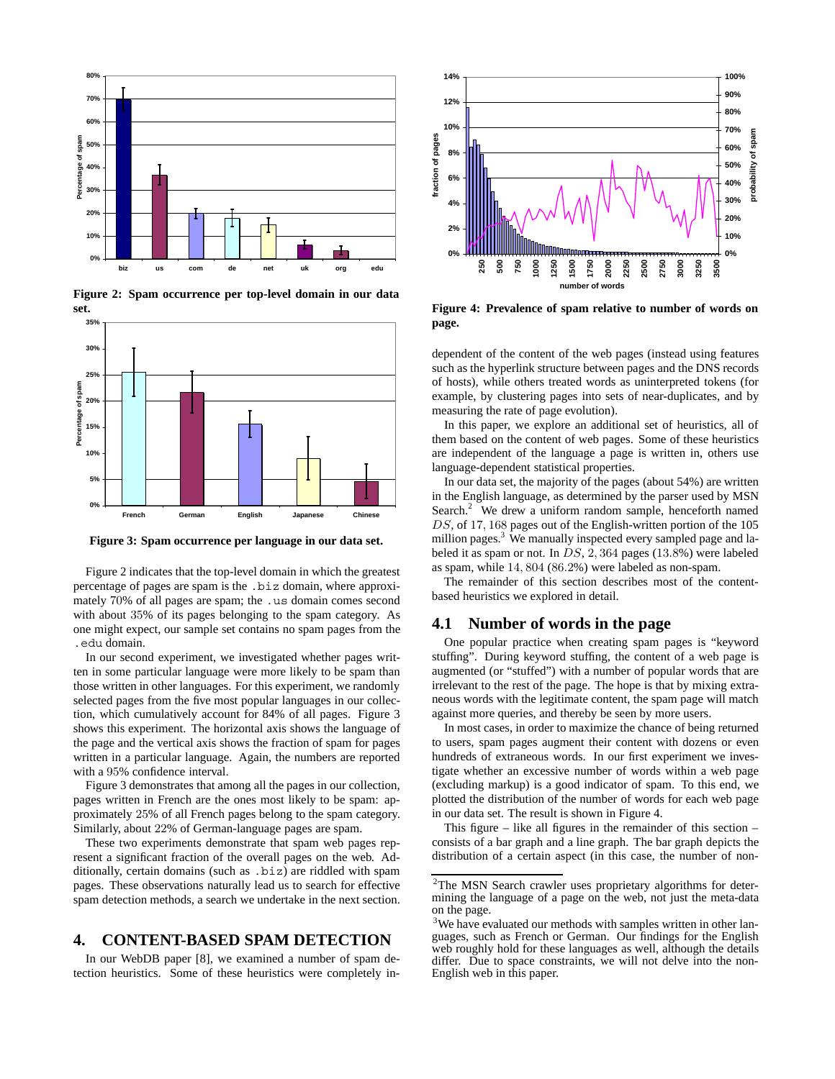

**Figure 2: Spam occurrence per top-level domain in our data set.**



**Figure 3: Spam occurrence per language in our data set.**

Figure 2 indicates that the top-level domain in which the greatest percentage of pages are spam is the .biz domain, where approximately 70% of all pages are spam; the .us domain comes second with about 35% of its pages belonging to the spam category. As one might expect, our sample set contains no spam pages from the .edu domain.

In our second experiment, we investigated whether pages written in some particular language were more likely to be spam than those written in other languages. For this experiment, we randomly selected pages from the five most popular languages in our collection, which cumulatively account for 84% of all pages. Figure 3 shows this experiment. The horizontal axis shows the language of the page and the vertical axis shows the fraction of spam for pages written in a particular language. Again, the numbers are reported with a 95% confidence interval.

Figure 3 demonstrates that among all the pages in our collection, pages written in French are the ones most likely to be spam: approximately 25% of all French pages belong to the spam category. Similarly, about 22% of German-language pages are spam.

These two experiments demonstrate that spam web pages represent a significant fraction of the overall pages on the web. Additionally, certain domains (such as .biz) are riddled with spam pages. These observations naturally lead us to search for effective spam detection methods, a search we undertake in the next section.

## **4. CONTENT-BASED SPAM DETECTION**

In our WebDB paper [8], we examined a number of spam detection heuristics. Some of these heuristics were completely in-



**Figure 4: Prevalence of spam relative to number of words on page.**

dependent of the content of the web pages (instead using features such as the hyperlink structure between pages and the DNS records of hosts), while others treated words as uninterpreted tokens (for example, by clustering pages into sets of near-duplicates, and by measuring the rate of page evolution).

In this paper, we explore an additional set of heuristics, all of them based on the content of web pages. Some of these heuristics are independent of the language a page is written in, others use language-dependent statistical properties.

In our data set, the majority of the pages (about 54%) are written in the English language, as determined by the parser used by MSN Search.<sup>2</sup> We drew a uniform random sample, henceforth named *DS*, of 17*,* 168 pages out of the English-written portion of the 105 million pages.<sup>3</sup> We manually inspected every sampled page and labeled it as spam or not. In *DS*, 2*,* 364 pages (13*.*8%) were labeled as spam, while 14*,* 804 (86*.*2%) were labeled as non-spam.

The remainder of this section describes most of the contentbased heuristics we explored in detail.

#### **4.1 Number of words in the page**

One popular practice when creating spam pages is "keyword stuffing". During keyword stuffing, the content of a web page is augmented (or "stuffed") with a number of popular words that are irrelevant to the rest of the page. The hope is that by mixing extraneous words with the legitimate content, the spam page will match against more queries, and thereby be seen by more users.

In most cases, in order to maximize the chance of being returned to users, spam pages augment their content with dozens or even hundreds of extraneous words. In our first experiment we investigate whether an excessive number of words within a web page (excluding markup) is a good indicator of spam. To this end, we plotted the distribution of the number of words for each web page in our data set. The result is shown in Figure 4.

This figure – like all figures in the remainder of this section – consists of a bar graph and a line graph. The bar graph depicts the distribution of a certain aspect (in this case, the number of non-

 $2$ The MSN Search crawler uses proprietary algorithms for determining the language of a page on the web, not just the meta-data on the page.

<sup>&</sup>lt;sup>3</sup>We have evaluated our methods with samples written in other languages, such as French or German. Our findings for the English web roughly hold for these languages as well, although the details differ. Due to space constraints, we will not delve into the non-English web in this paper.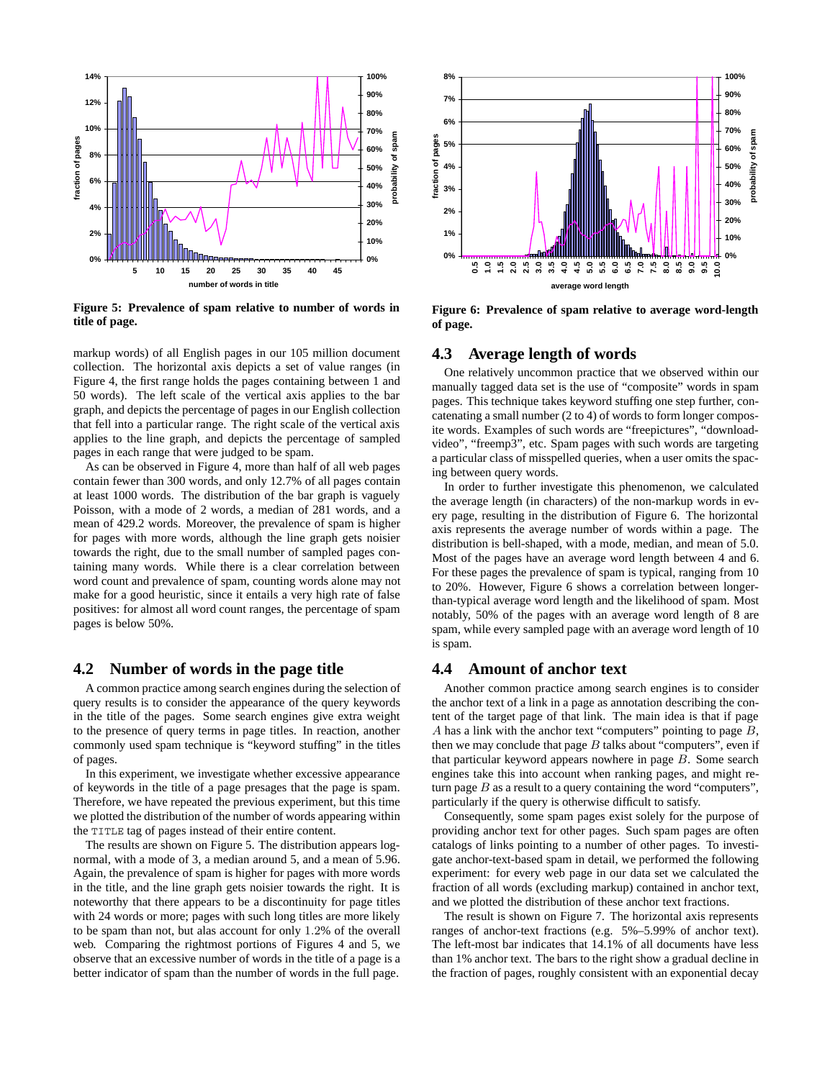

**Figure 5: Prevalence of spam relative to number of words in title of page.**

markup words) of all English pages in our 105 million document collection. The horizontal axis depicts a set of value ranges (in Figure 4, the first range holds the pages containing between 1 and 50 words). The left scale of the vertical axis applies to the bar graph, and depicts the percentage of pages in our English collection that fell into a particular range. The right scale of the vertical axis applies to the line graph, and depicts the percentage of sampled pages in each range that were judged to be spam.

As can be observed in Figure 4, more than half of all web pages contain fewer than 300 words, and only 12.7% of all pages contain at least 1000 words. The distribution of the bar graph is vaguely Poisson, with a mode of 2 words, a median of 281 words, and a mean of 429.2 words. Moreover, the prevalence of spam is higher for pages with more words, although the line graph gets noisier towards the right, due to the small number of sampled pages containing many words. While there is a clear correlation between word count and prevalence of spam, counting words alone may not make for a good heuristic, since it entails a very high rate of false positives: for almost all word count ranges, the percentage of spam pages is below 50%.

## **4.2 Number of words in the page title**

A common practice among search engines during the selection of query results is to consider the appearance of the query keywords in the title of the pages. Some search engines give extra weight to the presence of query terms in page titles. In reaction, another commonly used spam technique is "keyword stuffing" in the titles of pages.

In this experiment, we investigate whether excessive appearance of keywords in the title of a page presages that the page is spam. Therefore, we have repeated the previous experiment, but this time we plotted the distribution of the number of words appearing within the TITLE tag of pages instead of their entire content.

The results are shown on Figure 5. The distribution appears lognormal, with a mode of 3, a median around 5, and a mean of 5.96. Again, the prevalence of spam is higher for pages with more words in the title, and the line graph gets noisier towards the right. It is noteworthy that there appears to be a discontinuity for page titles with 24 words or more; pages with such long titles are more likely to be spam than not, but alas account for only 1*.*2% of the overall web. Comparing the rightmost portions of Figures 4 and 5, we observe that an excessive number of words in the title of a page is a better indicator of spam than the number of words in the full page.



**Figure 6: Prevalence of spam relative to average word-length of page.**

## **4.3 Average length of words**

One relatively uncommon practice that we observed within our manually tagged data set is the use of "composite" words in spam pages. This technique takes keyword stuffing one step further, concatenating a small number (2 to 4) of words to form longer composite words. Examples of such words are "freepictures", "downloadvideo", "freemp3", etc. Spam pages with such words are targeting a particular class of misspelled queries, when a user omits the spacing between query words.

In order to further investigate this phenomenon, we calculated the average length (in characters) of the non-markup words in every page, resulting in the distribution of Figure 6. The horizontal axis represents the average number of words within a page. The distribution is bell-shaped, with a mode, median, and mean of 5.0. Most of the pages have an average word length between 4 and 6. For these pages the prevalence of spam is typical, ranging from 10 to 20%. However, Figure 6 shows a correlation between longerthan-typical average word length and the likelihood of spam. Most notably, 50% of the pages with an average word length of 8 are spam, while every sampled page with an average word length of 10 is spam.

#### **4.4 Amount of anchor text**

Another common practice among search engines is to consider the anchor text of a link in a page as annotation describing the content of the target page of that link. The main idea is that if page *A* has a link with the anchor text "computers" pointing to page *B*, then we may conclude that page  $B$  talks about "computers", even if that particular keyword appears nowhere in page *B*. Some search engines take this into account when ranking pages, and might return page *B* as a result to a query containing the word "computers", particularly if the query is otherwise difficult to satisfy.

Consequently, some spam pages exist solely for the purpose of providing anchor text for other pages. Such spam pages are often catalogs of links pointing to a number of other pages. To investigate anchor-text-based spam in detail, we performed the following experiment: for every web page in our data set we calculated the fraction of all words (excluding markup) contained in anchor text, and we plotted the distribution of these anchor text fractions.

The result is shown on Figure 7. The horizontal axis represents ranges of anchor-text fractions (e.g. 5%–5.99% of anchor text). The left-most bar indicates that 14.1% of all documents have less than 1% anchor text. The bars to the right show a gradual decline in the fraction of pages, roughly consistent with an exponential decay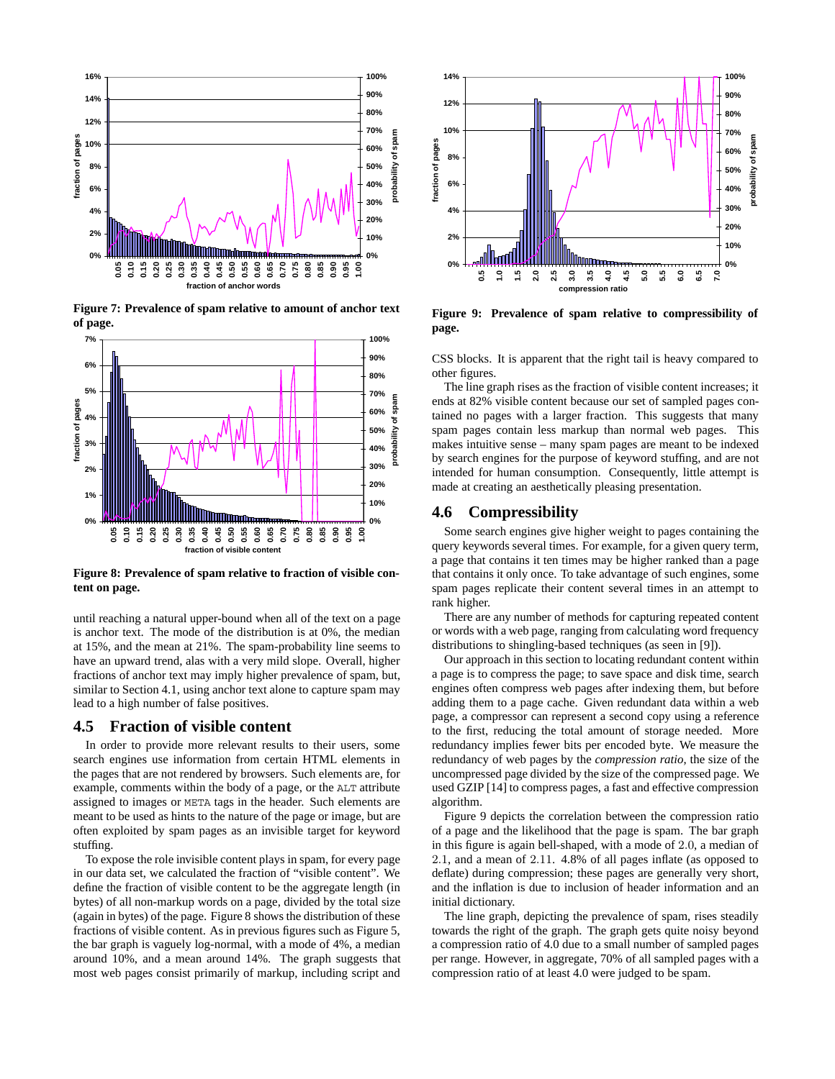

**Figure 7: Prevalence of spam relative to amount of anchor text of page.**



**Figure 8: Prevalence of spam relative to fraction of visible content on page.**

until reaching a natural upper-bound when all of the text on a page is anchor text. The mode of the distribution is at 0%, the median at 15%, and the mean at 21%. The spam-probability line seems to have an upward trend, alas with a very mild slope. Overall, higher fractions of anchor text may imply higher prevalence of spam, but, similar to Section 4.1, using anchor text alone to capture spam may lead to a high number of false positives.

## **4.5 Fraction of visible content**

In order to provide more relevant results to their users, some search engines use information from certain HTML elements in the pages that are not rendered by browsers. Such elements are, for example, comments within the body of a page, or the ALT attribute assigned to images or META tags in the header. Such elements are meant to be used as hints to the nature of the page or image, but are often exploited by spam pages as an invisible target for keyword stuffing.

To expose the role invisible content plays in spam, for every page in our data set, we calculated the fraction of "visible content". We define the fraction of visible content to be the aggregate length (in bytes) of all non-markup words on a page, divided by the total size (again in bytes) of the page. Figure 8 shows the distribution of these fractions of visible content. As in previous figures such as Figure 5, the bar graph is vaguely log-normal, with a mode of 4%, a median around 10%, and a mean around 14%. The graph suggests that most web pages consist primarily of markup, including script and



**Figure 9: Prevalence of spam relative to compressibility of page.**

CSS blocks. It is apparent that the right tail is heavy compared to other figures.

The line graph rises as the fraction of visible content increases; it ends at 82% visible content because our set of sampled pages contained no pages with a larger fraction. This suggests that many spam pages contain less markup than normal web pages. This makes intuitive sense – many spam pages are meant to be indexed by search engines for the purpose of keyword stuffing, and are not intended for human consumption. Consequently, little attempt is made at creating an aesthetically pleasing presentation.

#### **4.6 Compressibility**

Some search engines give higher weight to pages containing the query keywords several times. For example, for a given query term, a page that contains it ten times may be higher ranked than a page that contains it only once. To take advantage of such engines, some spam pages replicate their content several times in an attempt to rank higher.

There are any number of methods for capturing repeated content or words with a web page, ranging from calculating word frequency distributions to shingling-based techniques (as seen in [9]).

Our approach in this section to locating redundant content within a page is to compress the page; to save space and disk time, search engines often compress web pages after indexing them, but before adding them to a page cache. Given redundant data within a web page, a compressor can represent a second copy using a reference to the first, reducing the total amount of storage needed. More redundancy implies fewer bits per encoded byte. We measure the redundancy of web pages by the *compression ratio*, the size of the uncompressed page divided by the size of the compressed page. We used GZIP [14] to compress pages, a fast and effective compression algorithm.

Figure 9 depicts the correlation between the compression ratio of a page and the likelihood that the page is spam. The bar graph in this figure is again bell-shaped, with a mode of 2*.*0, a median of 2*.*1, and a mean of 2*.*11. 4.8% of all pages inflate (as opposed to deflate) during compression; these pages are generally very short, and the inflation is due to inclusion of header information and an initial dictionary.

The line graph, depicting the prevalence of spam, rises steadily towards the right of the graph. The graph gets quite noisy beyond a compression ratio of 4.0 due to a small number of sampled pages per range. However, in aggregate, 70% of all sampled pages with a compression ratio of at least 4.0 were judged to be spam.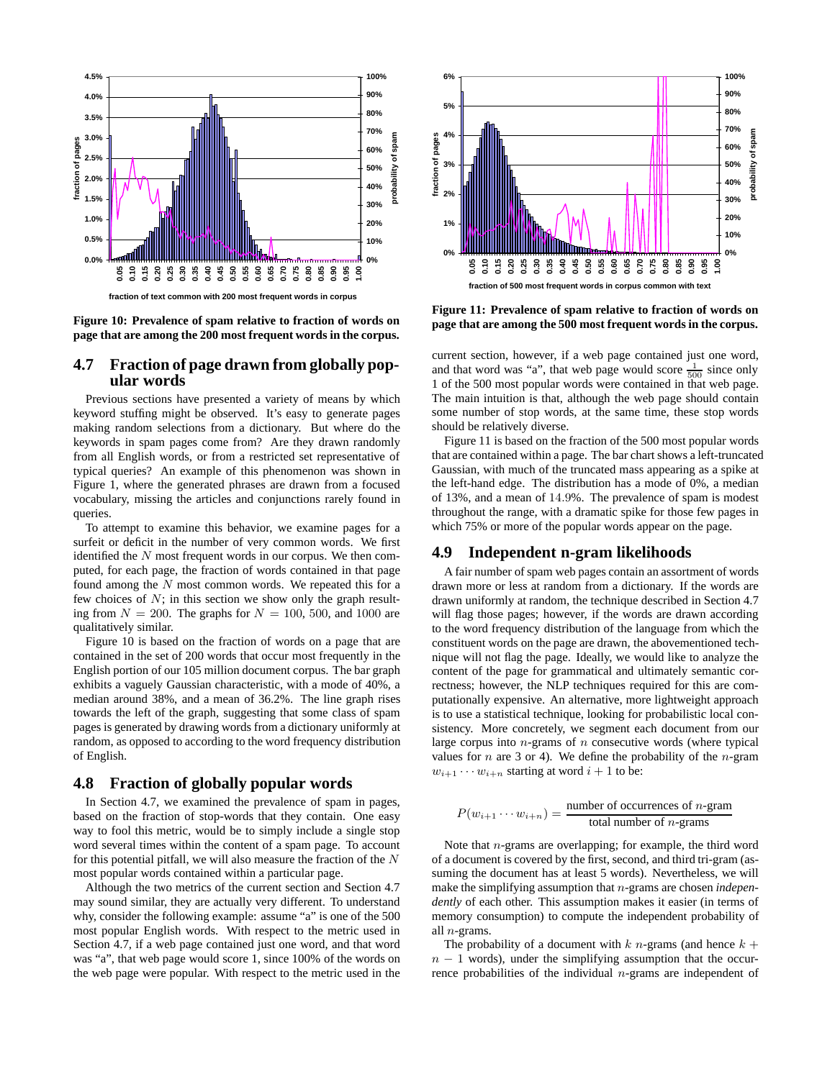

**Figure 10: Prevalence of spam relative to fraction of words on page that are among the 200 most frequent words in the corpus.**

## **4.7 Fraction of page drawn from globally popular words**

Previous sections have presented a variety of means by which keyword stuffing might be observed. It's easy to generate pages making random selections from a dictionary. But where do the keywords in spam pages come from? Are they drawn randomly from all English words, or from a restricted set representative of typical queries? An example of this phenomenon was shown in Figure 1, where the generated phrases are drawn from a focused vocabulary, missing the articles and conjunctions rarely found in queries.

To attempt to examine this behavior, we examine pages for a surfeit or deficit in the number of very common words. We first identified the *N* most frequent words in our corpus. We then computed, for each page, the fraction of words contained in that page found among the *N* most common words. We repeated this for a few choices of *N*; in this section we show only the graph resulting from  $N = 200$ . The graphs for  $N = 100$ , 500, and 1000 are qualitatively similar.

Figure 10 is based on the fraction of words on a page that are contained in the set of 200 words that occur most frequently in the English portion of our 105 million document corpus. The bar graph exhibits a vaguely Gaussian characteristic, with a mode of 40%, a median around 38%, and a mean of 36.2%. The line graph rises towards the left of the graph, suggesting that some class of spam pages is generated by drawing words from a dictionary uniformly at random, as opposed to according to the word frequency distribution of English.

#### **4.8 Fraction of globally popular words**

In Section 4.7, we examined the prevalence of spam in pages, based on the fraction of stop-words that they contain. One easy way to fool this metric, would be to simply include a single stop word several times within the content of a spam page. To account for this potential pitfall, we will also measure the fraction of the *N* most popular words contained within a particular page.

Although the two metrics of the current section and Section 4.7 may sound similar, they are actually very different. To understand why, consider the following example: assume "a" is one of the 500 most popular English words. With respect to the metric used in Section 4.7, if a web page contained just one word, and that word was "a", that web page would score 1, since 100% of the words on the web page were popular. With respect to the metric used in the



**Figure 11: Prevalence of spam relative to fraction of words on page that are among the 500 most frequent words in the corpus.**

current section, however, if a web page contained just one word, and that word was "a", that web page would score  $\frac{1}{500}$  since only 1 of the 500 most popular words were contained in that web page. The main intuition is that, although the web page should contain some number of stop words, at the same time, these stop words should be relatively diverse.

Figure 11 is based on the fraction of the 500 most popular words that are contained within a page. The bar chart shows a left-truncated Gaussian, with much of the truncated mass appearing as a spike at the left-hand edge. The distribution has a mode of 0%, a median of 13%, and a mean of 14*.*9%. The prevalence of spam is modest throughout the range, with a dramatic spike for those few pages in which 75% or more of the popular words appear on the page.

## **4.9 Independent n-gram likelihoods**

A fair number of spam web pages contain an assortment of words drawn more or less at random from a dictionary. If the words are drawn uniformly at random, the technique described in Section 4.7 will flag those pages; however, if the words are drawn according to the word frequency distribution of the language from which the constituent words on the page are drawn, the abovementioned technique will not flag the page. Ideally, we would like to analyze the content of the page for grammatical and ultimately semantic correctness; however, the NLP techniques required for this are computationally expensive. An alternative, more lightweight approach is to use a statistical technique, looking for probabilistic local consistency. More concretely, we segment each document from our large corpus into *n*-grams of *n* consecutive words (where typical values for *n* are 3 or 4). We define the probability of the *n*-gram  $w_{i+1} \cdots w_{i+n}$  starting at word  $i+1$  to be:

$$
P(w_{i+1} \cdots w_{i+n}) = \frac{\text{number of occurrences of } n\text{-gram}}{\text{total number of } n\text{-grams}}
$$

Note that *n*-grams are overlapping; for example, the third word of a document is covered by the first, second, and third tri-gram (assuming the document has at least 5 words). Nevertheless, we will make the simplifying assumption that *n*-grams are chosen *independently* of each other. This assumption makes it easier (in terms of memory consumption) to compute the independent probability of all *n*-grams.

The probability of a document with  $k$  *n*-grams (and hence  $k$  +  $n - 1$  words), under the simplifying assumption that the occurrence probabilities of the individual *n*-grams are independent of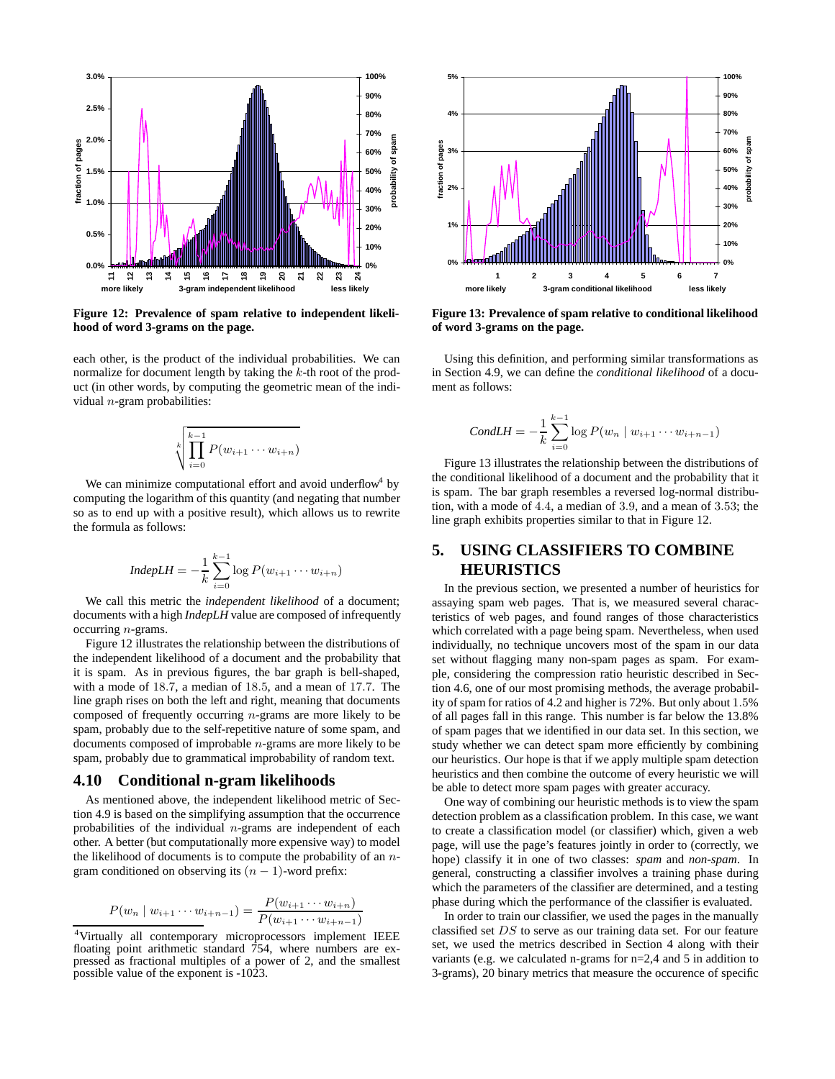

**Figure 12: Prevalence of spam relative to independent likelihood of word 3-grams on the page.**

each other, is the product of the individual probabilities. We can normalize for document length by taking the *k*-th root of the product (in other words, by computing the geometric mean of the individual *n*-gram probabilities:

$$
\sqrt[k]{\prod_{i=0}^{k-1} P(w_{i+1} \cdots w_{i+n})}
$$

We can minimize computational effort and avoid underflow by computing the logarithm of this quantity (and negating that number so as to end up with a positive result), which allows us to rewrite the formula as follows:

$$
IndepLH = -\frac{1}{k} \sum_{i=0}^{k-1} \log P(w_{i+1} \cdots w_{i+n})
$$

We call this metric the *independent likelihood* of a document; documents with a high *IndepLH* value are composed of infrequently occurring *n*-grams.

Figure 12 illustrates the relationship between the distributions of the independent likelihood of a document and the probability that it is spam. As in previous figures, the bar graph is bell-shaped, with a mode of 18*.*7, a median of 18*.*5, and a mean of 17*.*7. The line graph rises on both the left and right, meaning that documents composed of frequently occurring *n*-grams are more likely to be spam, probably due to the self-repetitive nature of some spam, and documents composed of improbable *n*-grams are more likely to be spam, probably due to grammatical improbability of random text.

#### **4.10 Conditional n-gram likelihoods**

As mentioned above, the independent likelihood metric of Section 4.9 is based on the simplifying assumption that the occurrence probabilities of the individual *n*-grams are independent of each other. A better (but computationally more expensive way) to model the likelihood of documents is to compute the probability of an *n*gram conditioned on observing its  $(n - 1)$ -word prefix:

$$
P(w_n \mid w_{i+1} \cdots w_{i+n-1}) = \frac{P(w_{i+1} \cdots w_{i+n})}{P(w_{i+1} \cdots w_{i+n-1})}
$$



**Figure 13: Prevalence of spam relative to conditional likelihood of word 3-grams on the page.**

Using this definition, and performing similar transformations as in Section 4.9, we can define the *conditional likelihood* of a document as follows:

$$
CondLH = -\frac{1}{k} \sum_{i=0}^{k-1} \log P(w_n \mid w_{i+1} \cdots w_{i+n-1})
$$

Figure 13 illustrates the relationship between the distributions of the conditional likelihood of a document and the probability that it is spam. The bar graph resembles a reversed log-normal distribution, with a mode of 4*.*4, a median of 3*.*9, and a mean of 3*.*53; the line graph exhibits properties similar to that in Figure 12.

# **5. USING CLASSIFIERS TO COMBINE HEURISTICS**

In the previous section, we presented a number of heuristics for assaying spam web pages. That is, we measured several characteristics of web pages, and found ranges of those characteristics which correlated with a page being spam. Nevertheless, when used individually, no technique uncovers most of the spam in our data set without flagging many non-spam pages as spam. For example, considering the compression ratio heuristic described in Section 4.6, one of our most promising methods, the average probability of spam for ratios of 4.2 and higher is 72%. But only about 1*.*5% of all pages fall in this range. This number is far below the 13.8% of spam pages that we identified in our data set. In this section, we study whether we can detect spam more efficiently by combining our heuristics. Our hope is that if we apply multiple spam detection heuristics and then combine the outcome of every heuristic we will be able to detect more spam pages with greater accuracy.

One way of combining our heuristic methods is to view the spam detection problem as a classification problem. In this case, we want to create a classification model (or classifier) which, given a web page, will use the page's features jointly in order to (correctly, we hope) classify it in one of two classes: *spam* and *non-spam*. In general, constructing a classifier involves a training phase during which the parameters of the classifier are determined, and a testing phase during which the performance of the classifier is evaluated.

In order to train our classifier, we used the pages in the manually classified set *DS* to serve as our training data set. For our feature set, we used the metrics described in Section 4 along with their variants (e.g. we calculated n-grams for n=2,4 and 5 in addition to 3-grams), 20 binary metrics that measure the occurence of specific

 $P(w_{i+1} \cdots w_{i+n-1})$   $P(w_{i+1} \cdots w_{i+n-1})$ <sup>4</sup>Virtually all contemporary microprocessors implement IEEE floating point arithmetic standard 754, where numbers are expressed as fractional multiples of a power of 2, and the smallest possible value of the exponent is -1023.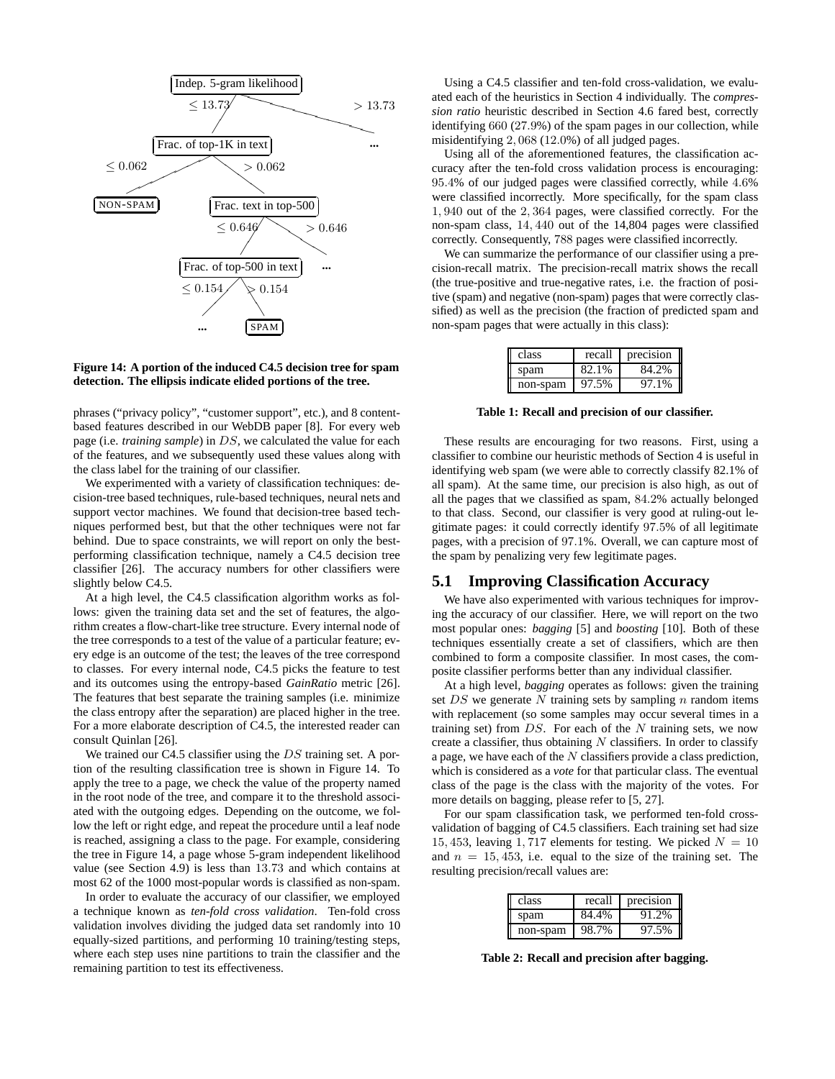

#### **Figure 14: A portion of the induced C4.5 decision tree for spam detection. The ellipsis indicate elided portions of the tree.**

phrases ("privacy policy", "customer support", etc.), and 8 contentbased features described in our WebDB paper [8]. For every web page (i.e. *training sample*) in *DS*, we calculated the value for each of the features, and we subsequently used these values along with the class label for the training of our classifier.

We experimented with a variety of classification techniques: decision-tree based techniques, rule-based techniques, neural nets and support vector machines. We found that decision-tree based techniques performed best, but that the other techniques were not far behind. Due to space constraints, we will report on only the bestperforming classification technique, namely a C4.5 decision tree classifier [26]. The accuracy numbers for other classifiers were slightly below C4.5.

At a high level, the C4.5 classification algorithm works as follows: given the training data set and the set of features, the algorithm creates a flow-chart-like tree structure. Every internal node of the tree corresponds to a test of the value of a particular feature; every edge is an outcome of the test; the leaves of the tree correspond to classes. For every internal node, C4.5 picks the feature to test and its outcomes using the entropy-based *GainRatio* metric [26]. The features that best separate the training samples (i.e. minimize the class entropy after the separation) are placed higher in the tree. For a more elaborate description of C4.5, the interested reader can consult Quinlan [26].

We trained our C4.5 classifier using the *DS* training set. A portion of the resulting classification tree is shown in Figure 14. To apply the tree to a page, we check the value of the property named in the root node of the tree, and compare it to the threshold associated with the outgoing edges. Depending on the outcome, we follow the left or right edge, and repeat the procedure until a leaf node is reached, assigning a class to the page. For example, considering the tree in Figure 14, a page whose 5-gram independent likelihood value (see Section 4.9) is less than 13*.*73 and which contains at most 62 of the 1000 most-popular words is classified as non-spam.

In order to evaluate the accuracy of our classifier, we employed a technique known as *ten-fold cross validation*. Ten-fold cross validation involves dividing the judged data set randomly into 10 equally-sized partitions, and performing 10 training/testing steps, where each step uses nine partitions to train the classifier and the remaining partition to test its effectiveness.

Using a C4.5 classifier and ten-fold cross-validation, we evaluated each of the heuristics in Section 4 individually. The *compression ratio* heuristic described in Section 4.6 fared best, correctly identifying 660 (27*.*9%) of the spam pages in our collection, while misidentifying 2*,* 068 (12*.*0%) of all judged pages.

Using all of the aforementioned features, the classification accuracy after the ten-fold cross validation process is encouraging: 95*.*4% of our judged pages were classified correctly, while 4*.*6% were classified incorrectly. More specifically, for the spam class 1*,* 940 out of the 2*,* 364 pages, were classified correctly. For the non-spam class, 14*,* 440 out of the 14,804 pages were classified correctly. Consequently, 788 pages were classified incorrectly.

We can summarize the performance of our classifier using a precision-recall matrix. The precision-recall matrix shows the recall (the true-positive and true-negative rates, i.e. the fraction of positive (spam) and negative (non-spam) pages that were correctly classified) as well as the precision (the fraction of predicted spam and non-spam pages that were actually in this class):

| class    | recall | precision |
|----------|--------|-----------|
| spam     | 82.1%  | 84.2%     |
| non-spam | 97.5%  | 97.1%     |

**Table 1: Recall and precision of our classifier.**

These results are encouraging for two reasons. First, using a classifier to combine our heuristic methods of Section 4 is useful in identifying web spam (we were able to correctly classify 82.1% of all spam). At the same time, our precision is also high, as out of all the pages that we classified as spam, 84*.*2% actually belonged to that class. Second, our classifier is very good at ruling-out legitimate pages: it could correctly identify 97*.*5% of all legitimate pages, with a precision of 97*.*1%. Overall, we can capture most of the spam by penalizing very few legitimate pages.

## **5.1 Improving Classification Accuracy**

We have also experimented with various techniques for improving the accuracy of our classifier. Here, we will report on the two most popular ones: *bagging* [5] and *boosting* [10]. Both of these techniques essentially create a set of classifiers, which are then combined to form a composite classifier. In most cases, the composite classifier performs better than any individual classifier.

At a high level, *bagging* operates as follows: given the training set *DS* we generate *N* training sets by sampling *n* random items with replacement (so some samples may occur several times in a training set) from *DS*. For each of the *N* training sets, we now create a classifier, thus obtaining *N* classifiers. In order to classify a page, we have each of the *N* classifiers provide a class prediction, which is considered as a *vote* for that particular class. The eventual class of the page is the class with the majority of the votes. For more details on bagging, please refer to [5, 27].

For our spam classification task, we performed ten-fold crossvalidation of bagging of C4.5 classifiers. Each training set had size 15, 453, leaving 1, 717 elements for testing. We picked  $N = 10$ and  $n = 15, 453$ , i.e. equal to the size of the training set. The resulting precision/recall values are:

| class    | recall | precision |
|----------|--------|-----------|
| spam     | 84.4%  | 91.2%     |
| non-spam | 98.7%  | 97.5%     |

**Table 2: Recall and precision after bagging.**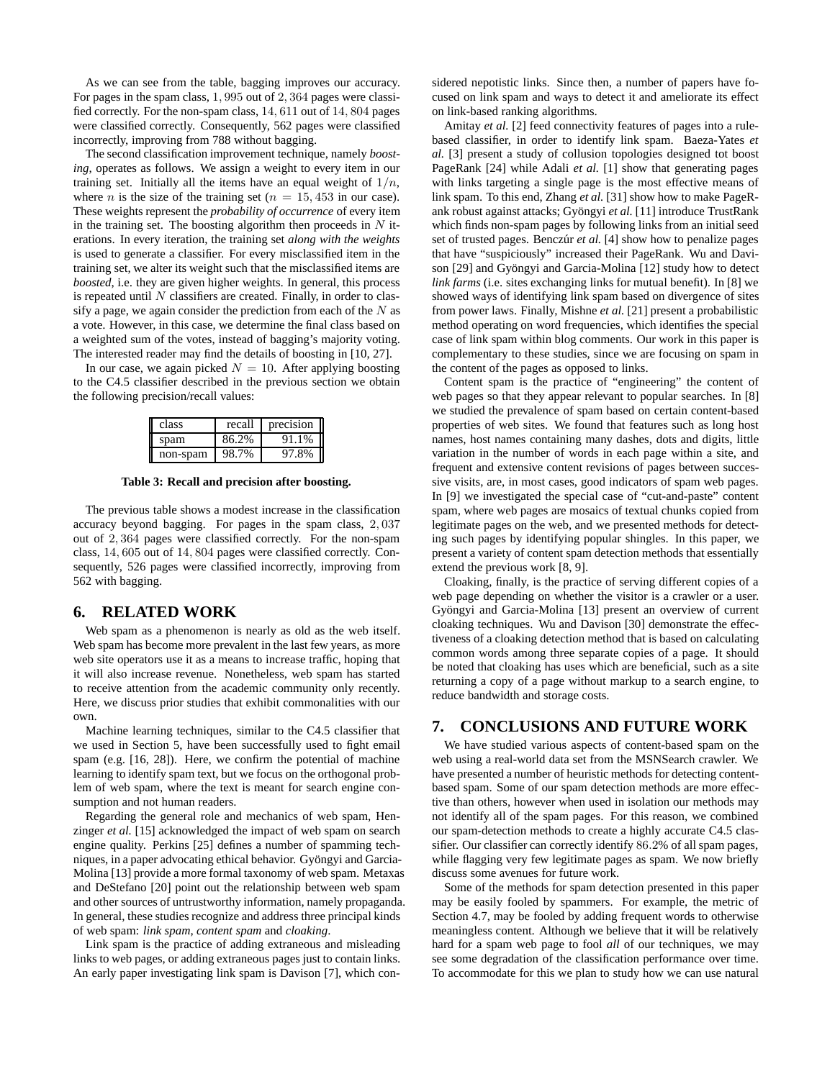As we can see from the table, bagging improves our accuracy. For pages in the spam class, 1*,* 995 out of 2*,* 364 pages were classified correctly. For the non-spam class, 14*,* 611 out of 14*,* 804 pages were classified correctly. Consequently, 562 pages were classified incorrectly, improving from 788 without bagging.

The second classification improvement technique, namely *boosting*, operates as follows. We assign a weight to every item in our training set. Initially all the items have an equal weight of  $1/n$ , where *n* is the size of the training set ( $n = 15,453$  in our case). These weights represent the *probability of occurrence* of every item in the training set. The boosting algorithm then proceeds in *N* iterations. In every iteration, the training set *along with the weights* is used to generate a classifier. For every misclassified item in the training set, we alter its weight such that the misclassified items are *boosted*, i.e. they are given higher weights. In general, this process is repeated until *N* classifiers are created. Finally, in order to classify a page, we again consider the prediction from each of the *N* as a vote. However, in this case, we determine the final class based on a weighted sum of the votes, instead of bagging's majority voting. The interested reader may find the details of boosting in [10, 27].

In our case, we again picked  $N = 10$ . After applying boosting to the C4.5 classifier described in the previous section we obtain the following precision/recall values:

| class    | recall | precision |
|----------|--------|-----------|
| spam     | 86.2%  | 91.1%     |
| non-spam | 98.7%  | 97.8%     |

**Table 3: Recall and precision after boosting.**

The previous table shows a modest increase in the classification accuracy beyond bagging. For pages in the spam class, 2*,* 037 out of 2*,* 364 pages were classified correctly. For the non-spam class, 14*,* 605 out of 14*,* 804 pages were classified correctly. Consequently, 526 pages were classified incorrectly, improving from 562 with bagging.

#### **6. RELATED WORK**

Web spam as a phenomenon is nearly as old as the web itself. Web spam has become more prevalent in the last few years, as more web site operators use it as a means to increase traffic, hoping that it will also increase revenue. Nonetheless, web spam has started to receive attention from the academic community only recently. Here, we discuss prior studies that exhibit commonalities with our own.

Machine learning techniques, similar to the C4.5 classifier that we used in Section 5, have been successfully used to fight email spam (e.g. [16, 28]). Here, we confirm the potential of machine learning to identify spam text, but we focus on the orthogonal problem of web spam, where the text is meant for search engine consumption and not human readers.

Regarding the general role and mechanics of web spam, Henzinger *et al.* [15] acknowledged the impact of web spam on search engine quality. Perkins [25] defines a number of spamming techniques, in a paper advocating ethical behavior. Gyöngyi and Garcia-Molina [13] provide a more formal taxonomy of web spam. Metaxas and DeStefano [20] point out the relationship between web spam and other sources of untrustworthy information, namely propaganda. In general, these studies recognize and address three principal kinds of web spam: *link spam*, *content spam* and *cloaking*.

Link spam is the practice of adding extraneous and misleading links to web pages, or adding extraneous pages just to contain links. An early paper investigating link spam is Davison [7], which considered nepotistic links. Since then, a number of papers have focused on link spam and ways to detect it and ameliorate its effect on link-based ranking algorithms.

Amitay *et al.* [2] feed connectivity features of pages into a rulebased classifier, in order to identify link spam. Baeza-Yates *et al.* [3] present a study of collusion topologies designed tot boost PageRank [24] while Adali *et al.* [1] show that generating pages with links targeting a single page is the most effective means of link spam. To this end, Zhang *et al.* [31] show how to make PageRank robust against attacks; Gyöngyi et al. [11] introduce TrustRank which finds non-spam pages by following links from an initial seed set of trusted pages. Benczúr *et al.* [4] show how to penalize pages that have "suspiciously" increased their PageRank. Wu and Davison [29] and Gyöngyi and Garcia-Molina [12] study how to detect *link farms* (i.e. sites exchanging links for mutual benefit). In [8] we showed ways of identifying link spam based on divergence of sites from power laws. Finally, Mishne *et al.* [21] present a probabilistic method operating on word frequencies, which identifies the special case of link spam within blog comments. Our work in this paper is complementary to these studies, since we are focusing on spam in the content of the pages as opposed to links.

Content spam is the practice of "engineering" the content of web pages so that they appear relevant to popular searches. In [8] we studied the prevalence of spam based on certain content-based properties of web sites. We found that features such as long host names, host names containing many dashes, dots and digits, little variation in the number of words in each page within a site, and frequent and extensive content revisions of pages between successive visits, are, in most cases, good indicators of spam web pages. In [9] we investigated the special case of "cut-and-paste" content spam, where web pages are mosaics of textual chunks copied from legitimate pages on the web, and we presented methods for detecting such pages by identifying popular shingles. In this paper, we present a variety of content spam detection methods that essentially extend the previous work [8, 9].

Cloaking, finally, is the practice of serving different copies of a web page depending on whether the visitor is a crawler or a user. Gyöngyi and Garcia-Molina [13] present an overview of current cloaking techniques. Wu and Davison [30] demonstrate the effectiveness of a cloaking detection method that is based on calculating common words among three separate copies of a page. It should be noted that cloaking has uses which are beneficial, such as a site returning a copy of a page without markup to a search engine, to reduce bandwidth and storage costs.

## **7. CONCLUSIONS AND FUTURE WORK**

We have studied various aspects of content-based spam on the web using a real-world data set from the MSNSearch crawler. We have presented a number of heuristic methods for detecting contentbased spam. Some of our spam detection methods are more effective than others, however when used in isolation our methods may not identify all of the spam pages. For this reason, we combined our spam-detection methods to create a highly accurate C4.5 classifier. Our classifier can correctly identify 86*.*2% of all spam pages, while flagging very few legitimate pages as spam. We now briefly discuss some avenues for future work.

Some of the methods for spam detection presented in this paper may be easily fooled by spammers. For example, the metric of Section 4.7, may be fooled by adding frequent words to otherwise meaningless content. Although we believe that it will be relatively hard for a spam web page to fool *all* of our techniques, we may see some degradation of the classification performance over time. To accommodate for this we plan to study how we can use natural